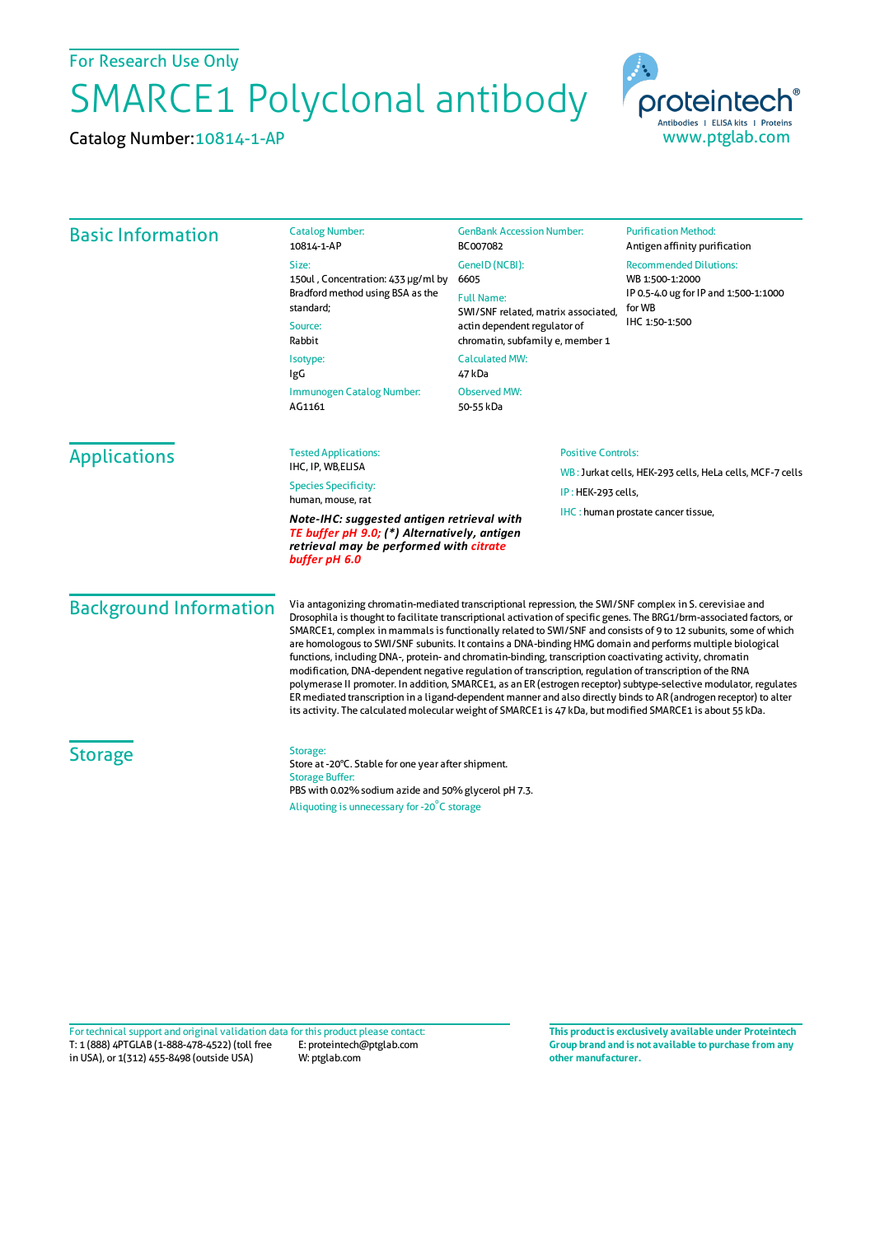For Research Use Only

## SMARCE1 Polyclonal antibody

Catalog Number:10814-1-AP



| <b>Basic Information</b>                                                                                                                                                                     | <b>Catalog Number:</b><br>10814-1-AP                                                                                                                                                                                                                                                                                                                                                                                                                                                                                                                                                                                                                                                                                                                                                                                                                                                                                                                                                                                                             | <b>GenBank Accession Number:</b><br>BC007082                                                                                                                                              | <b>Purification Method:</b><br>Antigen affinity purification                                                          |                                     |                                                   |  |                                                          |  |
|----------------------------------------------------------------------------------------------------------------------------------------------------------------------------------------------|--------------------------------------------------------------------------------------------------------------------------------------------------------------------------------------------------------------------------------------------------------------------------------------------------------------------------------------------------------------------------------------------------------------------------------------------------------------------------------------------------------------------------------------------------------------------------------------------------------------------------------------------------------------------------------------------------------------------------------------------------------------------------------------------------------------------------------------------------------------------------------------------------------------------------------------------------------------------------------------------------------------------------------------------------|-------------------------------------------------------------------------------------------------------------------------------------------------------------------------------------------|-----------------------------------------------------------------------------------------------------------------------|-------------------------------------|---------------------------------------------------|--|----------------------------------------------------------|--|
|                                                                                                                                                                                              | Size:<br>150ul, Concentration: 433 µg/ml by<br>Bradford method using BSA as the<br>standard;<br>Source:<br>Rabbit<br>Isotype:<br>IgG                                                                                                                                                                                                                                                                                                                                                                                                                                                                                                                                                                                                                                                                                                                                                                                                                                                                                                             | GenelD (NCBI):<br>6605<br><b>Full Name:</b><br>SWI/SNF related, matrix associated,<br>actin dependent regulator of<br>chromatin, subfamily e, member 1<br><b>Calculated MW:</b><br>47 kDa | <b>Recommended Dilutions:</b><br>WB 1:500-1:2000<br>IP 0.5-4.0 ug for IP and 1:500-1:1000<br>for WB<br>IHC 1:50-1:500 |                                     |                                                   |  |                                                          |  |
|                                                                                                                                                                                              |                                                                                                                                                                                                                                                                                                                                                                                                                                                                                                                                                                                                                                                                                                                                                                                                                                                                                                                                                                                                                                                  |                                                                                                                                                                                           |                                                                                                                       | Immunogen Catalog Number:<br>AG1161 | Observed MW:<br>50-55 kDa                         |  |                                                          |  |
|                                                                                                                                                                                              |                                                                                                                                                                                                                                                                                                                                                                                                                                                                                                                                                                                                                                                                                                                                                                                                                                                                                                                                                                                                                                                  |                                                                                                                                                                                           |                                                                                                                       | <b>Applications</b>                 | <b>Tested Applications:</b><br>IHC, IP, WB, ELISA |  | <b>Positive Controls:</b>                                |  |
|                                                                                                                                                                                              |                                                                                                                                                                                                                                                                                                                                                                                                                                                                                                                                                                                                                                                                                                                                                                                                                                                                                                                                                                                                                                                  |                                                                                                                                                                                           |                                                                                                                       |                                     | <b>Species Specificity:</b>                       |  | WB: Jurkat cells, HEK-293 cells, HeLa cells, MCF-7 cells |  |
|                                                                                                                                                                                              | human, mouse, rat                                                                                                                                                                                                                                                                                                                                                                                                                                                                                                                                                                                                                                                                                                                                                                                                                                                                                                                                                                                                                                | IP: HEK-293 cells,                                                                                                                                                                        |                                                                                                                       |                                     |                                                   |  |                                                          |  |
| IHC: human prostate cancer tissue,<br>Note-IHC: suggested antigen retrieval with<br>TE buffer pH 9.0; (*) Alternatively, antigen<br>retrieval may be performed with citrate<br>buffer pH 6.0 |                                                                                                                                                                                                                                                                                                                                                                                                                                                                                                                                                                                                                                                                                                                                                                                                                                                                                                                                                                                                                                                  |                                                                                                                                                                                           |                                                                                                                       |                                     |                                                   |  |                                                          |  |
| <b>Background Information</b>                                                                                                                                                                | Via antagonizing chromatin-mediated transcriptional repression, the SWI/SNF complex in S. cerevisiae and<br>Drosophila is thought to facilitate transcriptional activation of specific genes. The BRG1/brm-associated factors, or<br>SMARCE1, complex in mammals is functionally related to SWI/SNF and consists of 9 to 12 subunits, some of which<br>are homologous to SWI/SNF subunits. It contains a DNA-binding HMG domain and performs multiple biological<br>functions, including DNA-, protein- and chromatin-binding, transcription coactivating activity, chromatin<br>modification, DNA-dependent negative regulation of transcription, regulation of transcription of the RNA<br>polymerase II promoter. In addition, SMARCE1, as an ER (estrogen receptor) subtype-selective modulator, regulates<br>ER mediated transcription in a ligand-dependent manner and also directly binds to AR (androgen receptor) to alter<br>its activity. The calculated molecular weight of SMARCE1 is 47 kDa, but modified SMARCE1 is about 55 kDa. |                                                                                                                                                                                           |                                                                                                                       |                                     |                                                   |  |                                                          |  |
| <b>Storage</b>                                                                                                                                                                               | Storage:<br>Store at -20°C. Stable for one year after shipment.<br><b>Storage Buffer:</b><br>PBS with 0.02% sodium azide and 50% glycerol pH 7.3.                                                                                                                                                                                                                                                                                                                                                                                                                                                                                                                                                                                                                                                                                                                                                                                                                                                                                                |                                                                                                                                                                                           |                                                                                                                       |                                     |                                                   |  |                                                          |  |
|                                                                                                                                                                                              | Aliquoting is unnecessary for -20°C storage                                                                                                                                                                                                                                                                                                                                                                                                                                                                                                                                                                                                                                                                                                                                                                                                                                                                                                                                                                                                      |                                                                                                                                                                                           |                                                                                                                       |                                     |                                                   |  |                                                          |  |

T: 1 (888) 4PTGLAB (1-888-478-4522) (toll free in USA), or 1(312) 455-8498 (outside USA) E: proteintech@ptglab.com W: ptglab.com Fortechnical support and original validation data forthis product please contact: **This productis exclusively available under Proteintech**

**Group brand and is not available to purchase from any other manufacturer.**